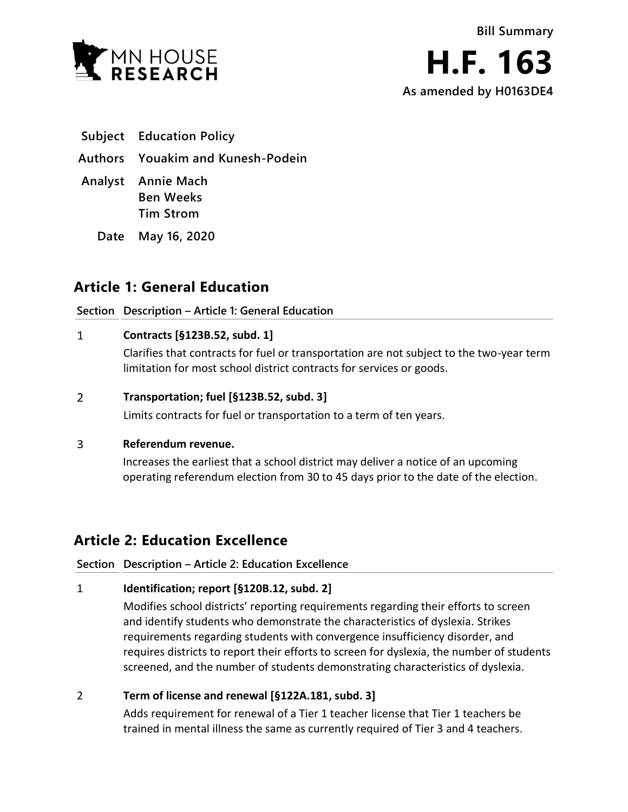



**Subject Education Policy**

**Authors Youakim and Kunesh-Podein**

**Analyst Annie Mach Ben Weeks Tim Strom**

**Date May 16, 2020**

# **Article 1: General Education**

# **Section Description – Article 1: General Education**

#### $\mathbf{1}$ **Contracts [§123B.52, subd. 1]**

Clarifies that contracts for fuel or transportation are not subject to the two-year term limitation for most school district contracts for services or goods.

#### $\overline{2}$ **Transportation; fuel [§123B.52, subd. 3]**

Limits contracts for fuel or transportation to a term of ten years.

#### $\overline{3}$ **Referendum revenue.**

Increases the earliest that a school district may deliver a notice of an upcoming operating referendum election from 30 to 45 days prior to the date of the election.

# **Article 2: Education Excellence**

**Section Description – Article 2: Education Excellence**

# 1 **Identification; report [§120B.12, subd. 2]**

Modifies school districts' reporting requirements regarding their efforts to screen and identify students who demonstrate the characteristics of dyslexia. Strikes requirements regarding students with convergence insufficiency disorder, and requires districts to report their efforts to screen for dyslexia, the number of students screened, and the number of students demonstrating characteristics of dyslexia.

# 2 **Term of license and renewal [§122A.181, subd. 3]**

Adds requirement for renewal of a Tier 1 teacher license that Tier 1 teachers be trained in mental illness the same as currently required of Tier 3 and 4 teachers.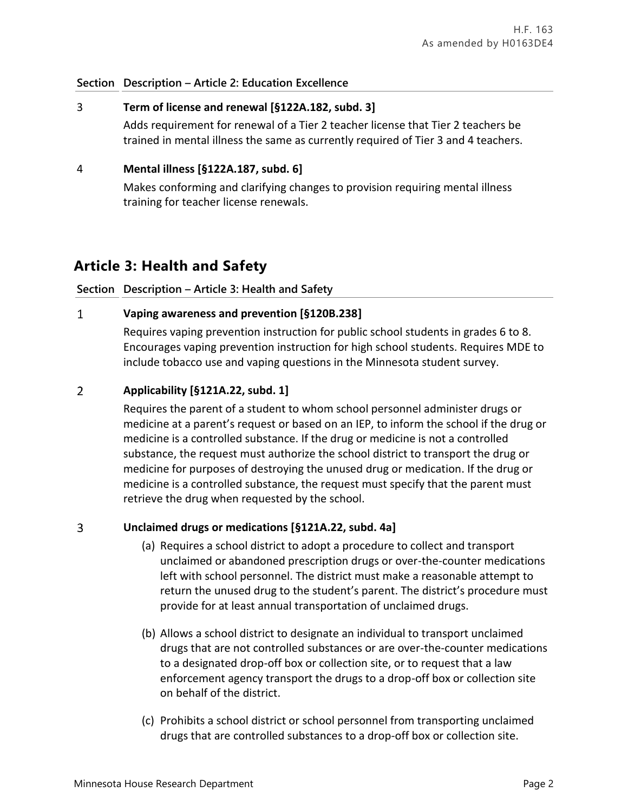### **Section Description – Article 2: Education Excellence**

### 3 **Term of license and renewal [§122A.182, subd. 3]**

Adds requirement for renewal of a Tier 2 teacher license that Tier 2 teachers be trained in mental illness the same as currently required of Tier 3 and 4 teachers.

## 4 **Mental illness [§122A.187, subd. 6]**

Makes conforming and clarifying changes to provision requiring mental illness training for teacher license renewals.

# **Article 3: Health and Safety**

## **Section Description – Article 3: Health and Safety**

#### $\mathbf{1}$ **Vaping awareness and prevention [§120B.238]**

Requires vaping prevention instruction for public school students in grades 6 to 8. Encourages vaping prevention instruction for high school students. Requires MDE to include tobacco use and vaping questions in the Minnesota student survey.

#### $\overline{2}$ **Applicability [§121A.22, subd. 1]**

Requires the parent of a student to whom school personnel administer drugs or medicine at a parent's request or based on an IEP, to inform the school if the drug or medicine is a controlled substance. If the drug or medicine is not a controlled substance, the request must authorize the school district to transport the drug or medicine for purposes of destroying the unused drug or medication. If the drug or medicine is a controlled substance, the request must specify that the parent must retrieve the drug when requested by the school.

#### $\overline{3}$ **Unclaimed drugs or medications [§121A.22, subd. 4a]**

- (a) Requires a school district to adopt a procedure to collect and transport unclaimed or abandoned prescription drugs or over-the-counter medications left with school personnel. The district must make a reasonable attempt to return the unused drug to the student's parent. The district's procedure must provide for at least annual transportation of unclaimed drugs.
- (b) Allows a school district to designate an individual to transport unclaimed drugs that are not controlled substances or are over-the-counter medications to a designated drop-off box or collection site, or to request that a law enforcement agency transport the drugs to a drop-off box or collection site on behalf of the district.
- (c) Prohibits a school district or school personnel from transporting unclaimed drugs that are controlled substances to a drop-off box or collection site.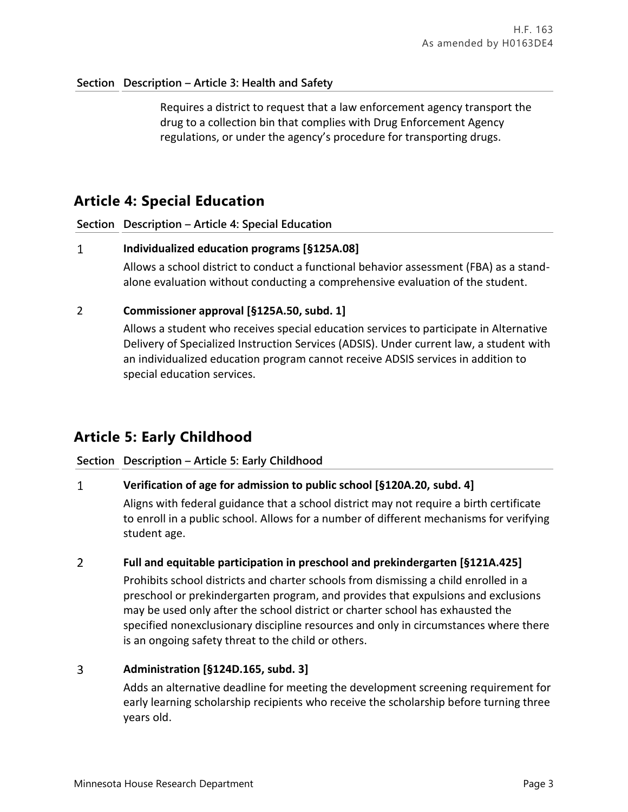## **Section Description – Article 3: Health and Safety**

Requires a district to request that a law enforcement agency transport the drug to a collection bin that complies with Drug Enforcement Agency regulations, or under the agency's procedure for transporting drugs.

# **Article 4: Special Education**

**Section Description – Article 4: Special Education**

#### $\mathbf{1}$ **Individualized education programs [§125A.08]**

Allows a school district to conduct a functional behavior assessment (FBA) as a standalone evaluation without conducting a comprehensive evaluation of the student.

## 2 **Commissioner approval [§125A.50, subd. 1]**

Allows a student who receives special education services to participate in Alternative Delivery of Specialized Instruction Services (ADSIS). Under current law, a student with an individualized education program cannot receive ADSIS services in addition to special education services.

# **Article 5: Early Childhood**

### **Section Description – Article 5: Early Childhood**

#### $\mathbf{1}$ **Verification of age for admission to public school [§120A.20, subd. 4]**

Aligns with federal guidance that a school district may not require a birth certificate to enroll in a public school. Allows for a number of different mechanisms for verifying student age.

#### $\overline{2}$ **Full and equitable participation in preschool and prekindergarten [§121A.425]**

Prohibits school districts and charter schools from dismissing a child enrolled in a preschool or prekindergarten program, and provides that expulsions and exclusions may be used only after the school district or charter school has exhausted the specified nonexclusionary discipline resources and only in circumstances where there is an ongoing safety threat to the child or others.

#### $\overline{3}$ **Administration [§124D.165, subd. 3]**

Adds an alternative deadline for meeting the development screening requirement for early learning scholarship recipients who receive the scholarship before turning three years old.